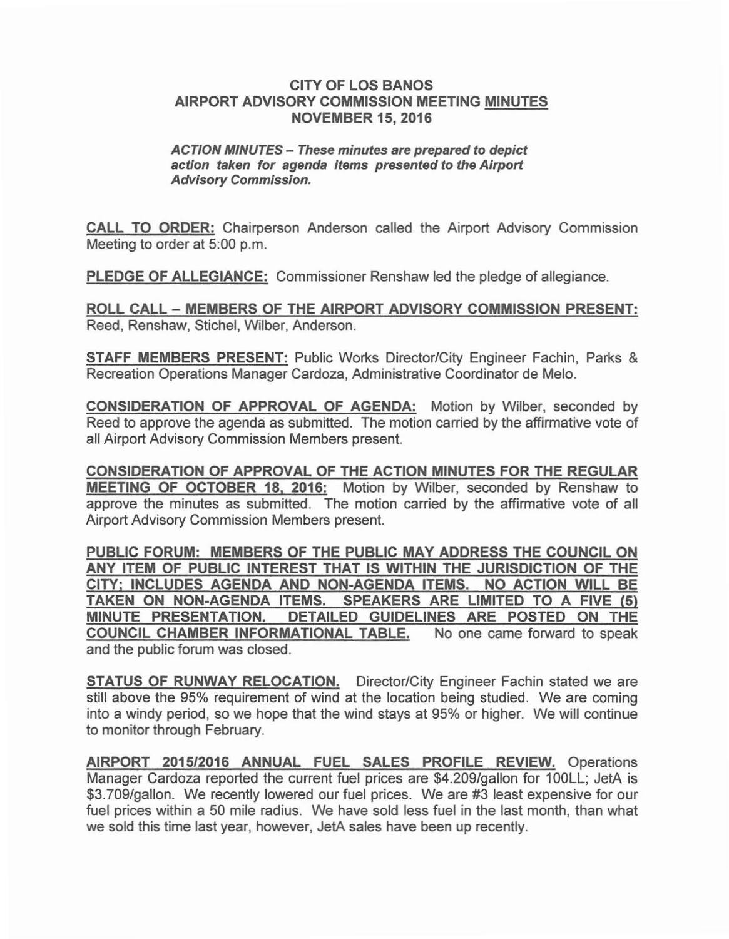## **CITY OF LOS BANOS AIRPORT ADVISORY COMMISSION MEETING MINUTES NOVEMBER 15, 2016**

## **ACTION MINUTES - These minutes are prepared to depict action taken for agenda items presented to the Airport Advisory Commission.**

**CALL TO ORDER:** Chairperson Anderson called the Airport Advisory Commission Meeting to order at 5:00 p.m.

**PLEDGE OF ALLEGIANCE:** Commissioner Renshaw led the pledge of allegiance.

**ROLL CALL - MEMBERS OF THE AIRPORT ADVISORY COMMISSION PRESENT:** Reed, Renshaw, Stichel, Wilber, Anderson.

**STAFF MEMBERS PRESENT:** Public Works DirectorlCity Engineer Fachin, Parks & Recreation Operations Manager Cardoza, Administrative Coordinator de Melo.

**CONSIDERATION OF APPROVAL OF AGENDA:** Motion by Wilber, seconded by Reed to approve the agenda as submitted. The motion carried by the affirmative vote of all Airport Advisory Commission Members present.

**CONSIDERATION OF APPROVAL OF THE ACTION MINUTES FOR THE REGULAR MEETING OF OCTOBER 18, 2016:** Motion by Wilber, seconded by Renshaw to approve the minutes as submitted. The motion carried by the affirmative vote of all Airport Advisory Commission Members present.

**PUBLIC FORUM: MEMBERS OF THE PUBLIC MAY ADDRESS THE COUNCIL ON ANY ITEM OF PUBLIC INTEREST THAT IS WITHIN THE JURISDICTION OF THE CITY; INCLUDES AGENDA AND NON-AGENDA ITEMS. NO ACTION WILL BE TAKEN ON NON-AGENDA ITEMS. SPEAKERS ARE LIMITED TO A FIVE lSI MINUTE PRESENTATION. DETAILED GUIDELINES ARE POSTED ON THE COUNCIL CHAMBER INFORMATIONAL TABLE.** No one came forward to speak and the public forum was closed.

**STATUS OF RUNWAY RELOCATION.** Director/City Engineer Fachin stated we are still above the 95% requirement of wind at the location being studied. We are coming into a windy period, so we hope that the wind stays at 95% or higher. We will continue to monitor through February.

**AIRPORT 2015/2016 ANNUAL FUEL SALES PROFILE REVIEW.** Operations Manager Cardoza reported the current fuel prices are \$4.209/gallon for 100LL; JetA is \$3.709/gallon. We recently lowered our fuel prices. We are #3 least expensive for our fuel prices within a 50 mile radius. We have sold less fuel in the last month, than what we sold this time last year, however, JetA sales have been up recently.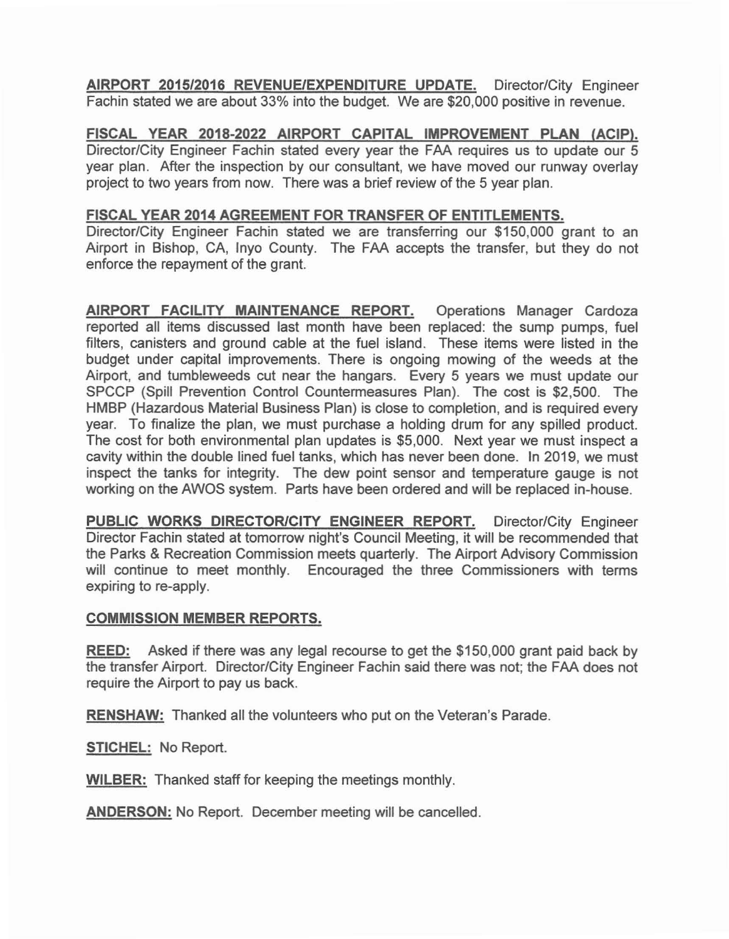**AIRPORT 2015/2016 REVENUE/EXPENDITURE UPDATE.** Director/City Engineer Fachin stated we are about 33% into the budget. We are \$20,000 positive in revenue.

**FISCAL YEAR 2018-2022 AIRPORT CAPITAL IMPROVEMENT PLAN /ACIP).** Director/City Engineer Fachin stated every year the FAA requires us to update our 5 year plan. After the inspection by our consultant, we have moved our runway overlay project to two years from now. There was a brief review of the 5 year plan.

## **FISCAL YEAR 2014 AGREEMENT FOR TRANSFER OF ENTITLEMENTS.**

Director/City Engineer Fachin stated we are transferring our \$150,000 grant to an Airport in Bishop, CA, Inyo County. The FAA accepts the transfer, but they do not enforce the repayment of the grant.

**AIRPORT FACILITY MAINTENANCE REPORT.** Operations Manager Cardoza reported all items discussed last month have been replaced: the sump pumps, fuel filters, canisters and ground cable at the fuel island. These items were listed in the budget under capital improvements. There is ongoing mowing of the weeds at the Airport, and tumbleweeds cut near the hangars. Every 5 years we must update our SPCCP (Spill Prevention Control Countermeasures Plan). The cost is \$2,500. The HMBP (Hazardous Material Business Plan) is close to completion, and is required every year. To finalize the plan, we must purchase a holding drum for any spilled product. The cost for both environmental plan updates is \$5,000. Next year we must inspect a cavity within the double lined fuel tanks, which has never been done. In 2019, we must inspect the tanks for integrity. The dew point sensor and temperature gauge is not working on the AWOS system. Parts have been ordered and will be replaced in-house.

**PUBLIC WORKS DIRECTOR/CITY ENGINEER REPORT.** Director/City Engineer Director Fachin stated at tomorrow night's Council Meeting, it will be recommended that the Parks & Recreation Commission meets quarterly. The Airport Advisory Commission will continue to meet monthly. Encouraged the three Commissioners with terms expiring to re-apply.

## **COMMISSION MEMBER REPORTS.**

**REED:** Asked if there was any legal recourse to get the \$150,000 grant paid back by the transfer Airport. Director/City Engineer Fachin said there was not; the FAA does not require the Airport to pay us back.

**RENSHAW:** Thanked all the volunteers who put on the Veteran's Parade.

**STICHEL:** No Report.

**WILBER:** Thanked staff for keeping the meetings monthly.

**ANDERSON:** No Report. December meeting will be cancelled.